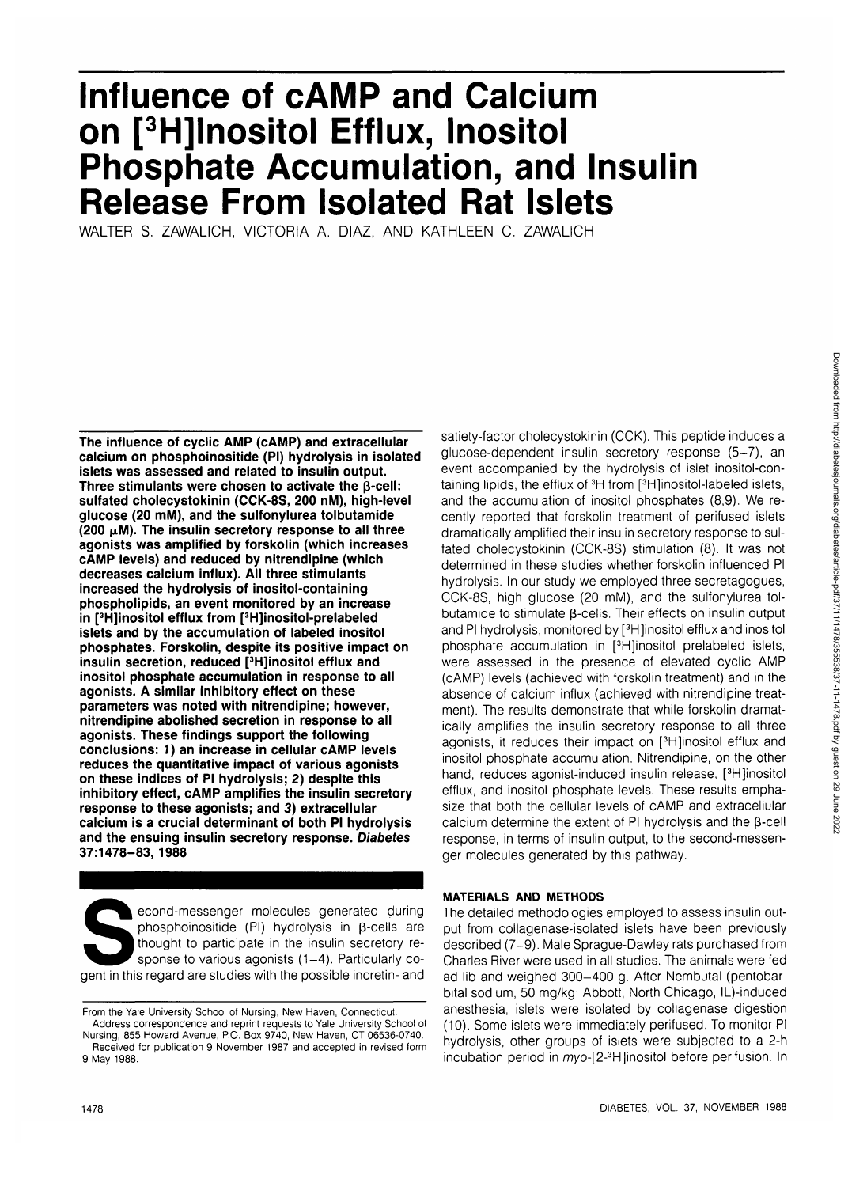# **Influence of cAMP and Calcium on [3 H]lnositol Efflux, Inositol Phosphate Accumulation, and Insulin Release From Isolated Rat Islets**

WALTER S. ZAWALICH, VICTORIA A. DIAZ, AND KATHLEEN C. ZAWALICH

**The influence of cyclic AMP (cAMP) and extracellular calcium on phosphoinositide (PI) hydrolysis in isolated islets was assessed and related to insulin output.** Three stimulants were chosen to activate the  $\beta$ -cell: **sulfated cholecystokinin (CCK-8S, 200 nM), high-level glucose (20 mM), and the sulfonylurea tolbutamide (200 |xM). The insulin secretory response to all three agonists was amplified by forskolin (which increases cAMP levels) and reduced by nitrendipine (which decreases calcium influx). All three stimulants increased the hydrolysis of inositol-containing phospholipids, an event monitored by an increase in [3 H]inositol efflux from [3 H]inositol-prelabeled islets and by the accumulation of labeled inositol phosphates. Forskolin, despite its positive impact on insulin secretion, reduced [<sup>3</sup> H]inositol efflux and inositol phosphate accumulation in response to all agonists. A similar inhibitory effect on these parameters was noted with nitrendipine; however, nitrendipine abolished secretion in response to all agonists. These findings support the following conclusions: 7) an increase in cellular cAMP levels reduces the quantitative impact of various agonists on these indices of PI hydrolysis; 2) despite this inhibitory effect, cAMP amplifies the insulin secretory response to these agonists; and 3) extracellular calcium is a crucial determinant of both PI hydrolysis and the ensuing insulin secretory response. Diabetes 37:1478-83, 1988**

econd-messenger molecules generated during<br>phosphoinositide (PI) hydrolysis in β-cells are<br>thought to participate in the insulin secretory re-<br>sponse to various agonists  $(1-4)$ . Particularly co-<br>gent in this regard are phosphoinositide (PI) hydrolysis in  $\beta$ -cells are thought to participate in the insulin secretory response to various agonists (1-4). Particularly cosatiety-factor cholecystokinin (CCK). This peptide induces a glucose-dependent insulin secretory response (5-7), an event accompanied by the hydrolysis of islet inositol-containing lipids, the efflux of <sup>3</sup>H from [<sup>3</sup>H]inositol-labeled islets. and the accumulation of inositol phosphates (8,9). We recently reported that forskolin treatment of perifused islets dramatically amplified their insulin secretory response to sulfated cholecystokinin (CCK-8S) stimulation (8). It was not determined in these studies whether forskolin influenced PI hydrolysis. In our study we employed three secretagogues, CCK-8S, high glucose (20 mM), and the sulfonylurea tolbutamide to stimulate β-cells. Their effects on insulin output and PI hydrolysis, monitored by [<sup>3</sup>H]inositol efflux and inositol phosphate accumulation in [<sup>3</sup>H]inositol prelabeled islets, were assessed in the presence of elevated cyclic AMP (cAMP) levels (achieved with forskolin treatment) and in the absence of calcium influx (achieved with nitrendipine treatment). The results demonstrate that while forskolin dramatically amplifies the insulin secretory response to all three agonists, it reduces their impact on [<sup>3</sup>H]inositol efflux and inositol phosphate accumulation. Nitrendipine, on the other hand, reduces agonist-induced insulin release, [<sup>3</sup>H]inositol efflux, and inositol phosphate levels. These results emphasize that both the cellular levels of cAMP and extracellular calcium determine the extent of PI hydrolysis and the  $\beta$ -cell response, in terms of insulin output, to the second-messenger molecules generated by this pathway.

# **MATERIALS AND METHODS**

The detailed methodologies employed to assess insulin output from collagenase-isolated islets have been previously described (7-9). Male Sprague-Dawley rats purchased from Charles River were used in all studies. The animals were fed ad lib and weighed 300-400 g. After Nembutal (pentobarbital sodium, 50 mg/kg; Abbott, North Chicago, IL)-induced anesthesia, islets were isolated by collagenase digestion (10). Some islets were immediately perifused. To monitor PI hydrolysis, other groups of islets were subjected to a 2-h incubation period in myo-[2-<sup>3</sup>H]inositol before perifusion. In

From the Yale University School of Nursing, New Haven, Connecticut.

Address correspondence and reprint requests to Yale University School of Nursing, 855 Howard Avenue, P.O. Box 9740, New Haven, CT 06536-0740. Received for publication 9 November 1987 and accepted in revised form 9 May 1988.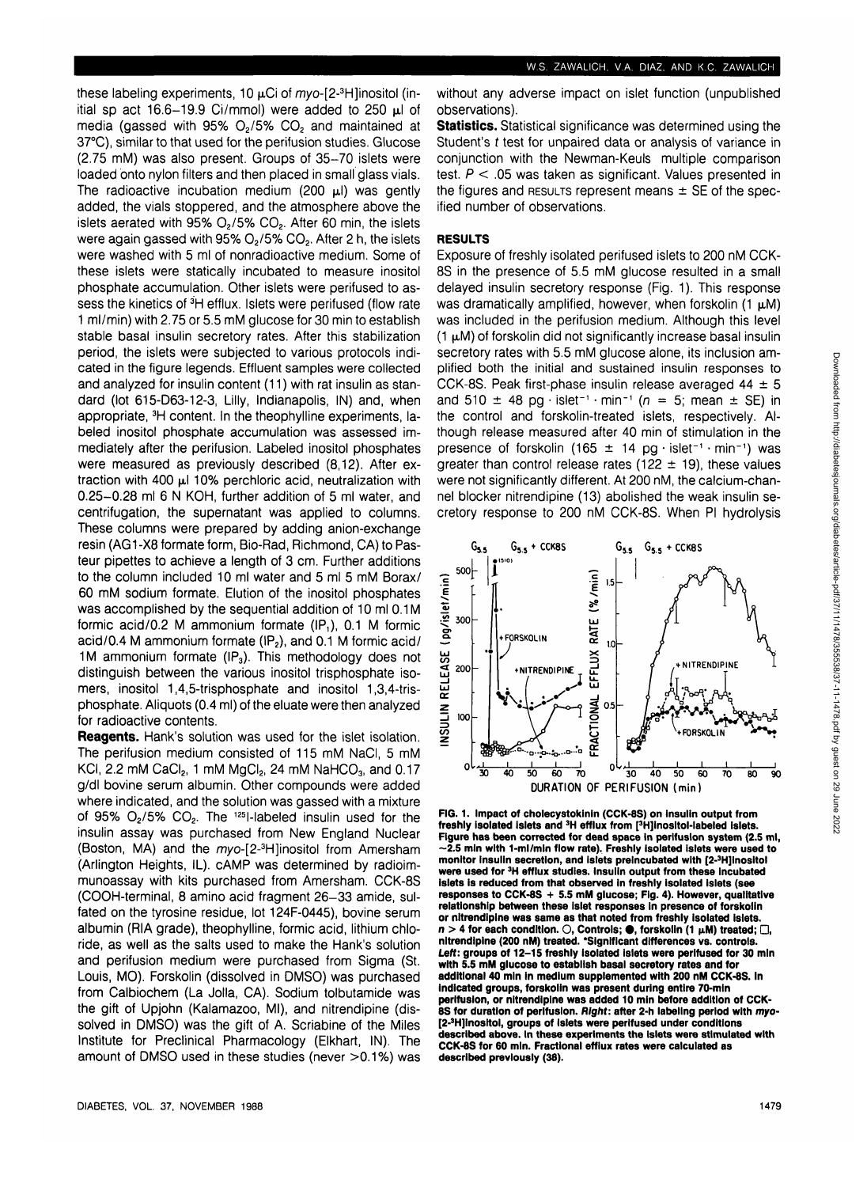these labeling experiments, 10  $\mu$ Ci of myo-[2-3H]inositol (initial sp act 16.6-19.9 Ci/mmol) were added to 250  $\mu$ l of media (gassed with 95%  $O<sub>2</sub>/5%$  CO<sub>2</sub> and maintained at 37°C), similar to that used for the perifusion studies. Glucose (2.75 mM) was also present. Groups of 35-70 islets were loaded onto nylon filters and then placed in small glass vials. The radioactive incubation medium (200  $\mu$ I) was gently added, the vials stoppered, and the atmosphere above the islets aerated with  $95\%$  O<sub>2</sub>/5% CO<sub>2</sub>. After 60 min, the islets were again gassed with 95%  $O<sub>2</sub>$ /5%  $CO<sub>2</sub>$ . After 2 h, the islets were washed with 5 ml of nonradioactive medium. Some of these islets were statically incubated to measure inositol phosphate accumulation. Other islets were perifused to as-.<br>sess the kinetics of <sup>3</sup>H efflux. Islets were perifused (flow rate 1 ml/min) with 2.75 or 5.5 mM glucose for 30 min to establish stable basal insulin secretory rates. After this stabilization period, the islets were subjected to various protocols indicated in the figure legends. Effluent samples were collected and analyzed for insulin content (11) with rat insulin as standard (lot 615-D63-12-3, Lilly, Indianapolis, IN) and, when appropriate, 3H content. In the theophylline experiments, labeled inositol phosphate accumulation was assessed immediately after the perifusion. Labeled inositol phosphates were measured as previously described (8,12). After extraction with 400  $\mu$ l 10% perchloric acid, neutralization with 0.25-0.28 ml 6 N KOH, further addition of 5 ml water, and centrifugation, the supernatant was applied to columns. These columns were prepared by adding anion-exchange resin (AG1-X8 formate form, Bio-Rad, Richmond, CA) to Pasteur pipettes to achieve a length of 3 cm. Further additions to the column included 10 ml water and 5 ml 5 mM Borax/ 60 mM sodium formate. Elution of the inositol phosphates was accomplished by the sequential addition of 10 ml 0.1M formic acid/0.2 M ammonium formate (IP,), 0.1 M formic acid/0.4 M ammonium formate  $(\mathsf{IP}_2)$ , and 0.1 M formic acid/ 1M ammonium formate  $(\text{IP}_3)$ . This methodology does not distinguish between the various inositol trisphosphate isomers, inositol 1,4,5-trisphosphate and inositol 1,3,4-trisphosphate. Aliquots (0.4 ml) of the eluate were then analyzed for radioactive contents.

**Reagents.** Hank's solution was used for the islet isolation. The perifusion medium consisted of 115 mM NaCI, 5 mM KCI, 2.2 mM CaCI<sub>2</sub>, 1 mM MgCI<sub>2</sub>, 24 mM NaHCO<sub>3</sub>, and 0.17 g/dl bovine serum albumin. Other compounds were added where indicated, and the solution was gassed with a mixture of 95%  $O_2/5\%$   $CO_2$ . The <sup>125</sup>l-labeled insulin used for the insulin assay was purchased from New England Nuclear (Boston, MA) and the myo-[2-<sup>3</sup>H]inositol from Amersham (Arlington Heights, IL). cAMP was determined by radioimmunoassay with kits purchased from Amersham. CCK-8S (COOH-terminal, 8 amino acid fragment 26-33 amide, sulfated on the tyrosine residue, lot 124F-0445), bovine serum albumin (RIA grade), theophylline, formic acid, lithium chloride, as well as the salts used to make the Hank's solution and perifusion medium were purchased from Sigma (St. Louis, MO). Forskolin (dissolved in DMSO) was purchased from Calbiochem (La Jolla, CA). Sodium tolbutamide was the gift of Upjohn (Kalamazoo, Ml), and nitrendipine (dissolved in DMSO) was the gift of A. Scriabine of the Miles Institute for Preclinical Pharmacology (Elkhart, IN). The amount of DMSO used in these studies (never >0.1%) was without any adverse impact on islet function (unpublished observations).

**Statistics.** Statistical significance was determined using the Student's t test for unpaired data or analysis of variance in conjunction with the Newman-Keuls multiple comparison test.  $P < 0.05$  was taken as significant. Values presented in the figures and RESULTS represent means  $\pm$  SE of the specified number of observations.

## **RESULTS**

Exposure of freshly isolated perifused islets to 200 nM CCK-8S in the presence of 5.5 mM glucose resulted in a small delayed insulin secretory response (Fig. 1). This response was dramatically amplified, however, when forskolin  $(1 \mu M)$ was included in the perifusion medium. Although this level  $(1 \mu M)$  of forskolin did not significantly increase basal insulin secretory rates with 5.5 mM glucose alone, its inclusion amplified both the initial and sustained insulin responses to CCK-8S. Peak first-phase insulin release averaged  $44 \pm 5$ and 510  $\pm$  48 pg · islet<sup>-1</sup> · min<sup>-1</sup> ( $n = 5$ ; mean  $\pm$  SE) in the control and forskolin-treated islets, respectively. Although release measured after 40 min of stimulation in the presence of forskolin (165  $\pm$  14 pg · islet<sup>-1</sup> · min<sup>-1</sup>) was greater than control release rates (122  $\pm$  19), these values were not significantly different. At 200 nM, the calcium-channel blocker nitrendipine (13) abolished the weak insulin secretory response to 200 nM CCK-8S. When PI hydrolysis



**FIG. 1. Impact of cholecystokinin (CCK-8S) on insulin output from freshly isolated islets and 3H efflux from [3 H]lnosltol-labeled islets. Figure has been corrected for dead space in perifusion system (2.5 ml, ~2.5 min with 1-ml/min flow rate), Freshly Isolated islets were used to monitor insulin secretion, and islets preincubated with [2-<sup>3</sup> H]lnosltol were used for 3H efflux studies. Insulin output from these incubated islets is reduced from that observed in freshly isolated islets (see responses to CCK-8S + 5.5 mM glucose; Fig. 4). However, qualitative relationship between these islet responses in presence of forskolin or nitrendipine was same as that noted from freshly isolated islets, n > 4 for each condition. O, Controls; • , forskolin (1 p.M) treated; D, nitrendipine (200 nM) treated. 'Significant differences vs. controls.** Left: groups of 12-15 freshly isolated islets were perifused for 30 min **with 5.5 mM glucose to establish basal secretory rates and for additional 40 min in medium supplemented with 200 nM CCK-8S. In indicated groups, forskolin was present during entire 70-mln perifusion, or nitrendipine was added 10 min before addition of CCK-SS for duration of perifusion. Right: after 2-h labeling period with myo- [2-<sup>3</sup> H]lnositol, groups of islets were perifused under conditions described above. In these experiments the islets were stimulated with CCK-8S for 60 min. Fractional efflux rates were calculated as described previously (38).**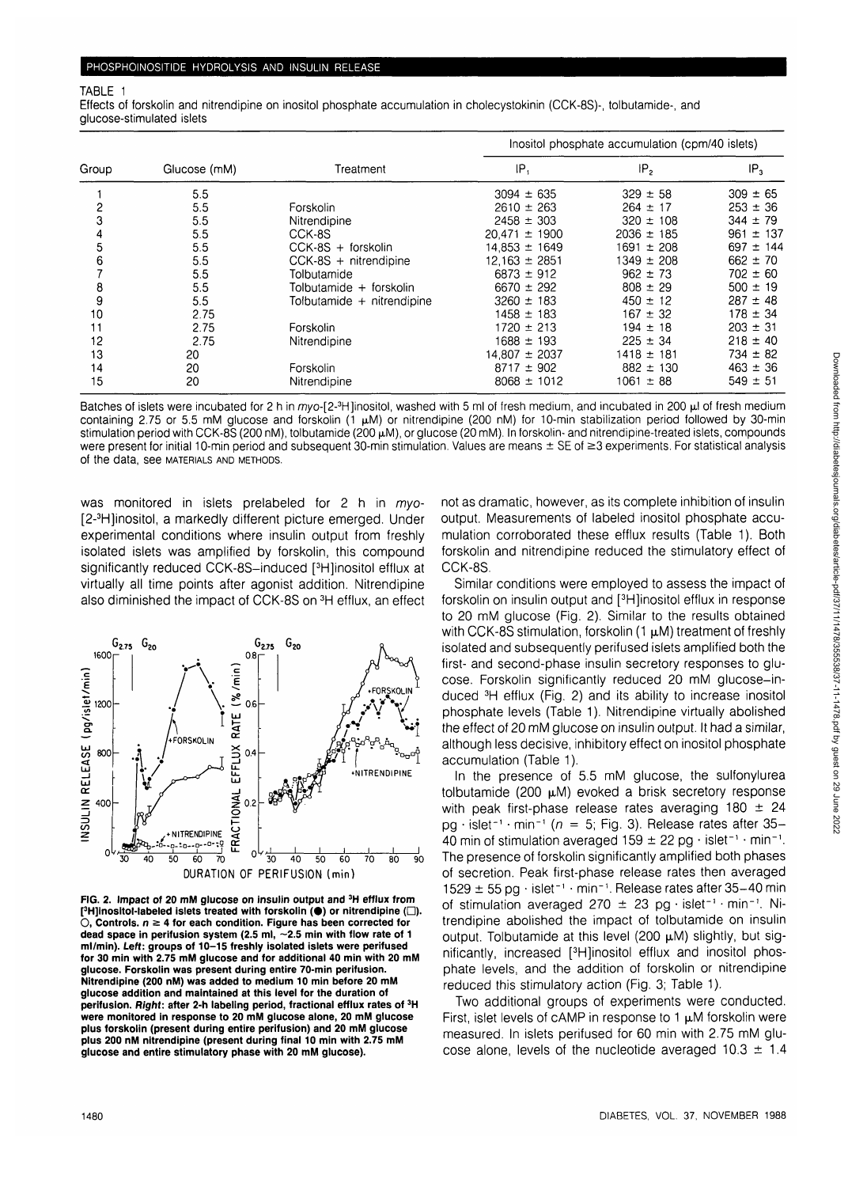#### TABLE 1

Effects of forskolin and nitrendipine on inositol phosphate accumulation in cholecystokinin (CCK-8S)-, tolbutamide-, and glucose-stimulated islets

| Group | Glucose (mM) | Treatment                  | Inositol phosphate accumulation (cpm/40 islets) |                 |                 |
|-------|--------------|----------------------------|-------------------------------------------------|-----------------|-----------------|
|       |              |                            | IP,                                             | IP <sub>2</sub> | IP <sub>3</sub> |
|       | 5.5          |                            | $3094 \pm 635$                                  | $329 \pm 58$    | $309 \pm 65$    |
| 2     | 5.5          | Forskolin                  | $2610 \pm 263$                                  | $264 \pm 17$    | $253 \pm 36$    |
| 3     | 5.5          | Nitrendipine               | $2458 \pm 303$                                  | $320 \pm 108$   | $344 \pm 79$    |
|       | 5.5          | CCK-8S                     | $20.471 \pm 1900$                               | $2036 \pm 185$  | $961 \pm 137$   |
| 5     | 5.5          | CCK-8S + forskolin         | $14.853 \pm 1649$                               | 1691 ± 208      | $697 \pm 144$   |
| 6     | 5.5          | $CCK-8S + nitrendipine$    | $12.163 \pm 2851$                               | $1349 \pm 208$  | $662 \pm 70$    |
|       | 5.5          | Tolbutamide                | $6873 \pm 912$                                  | $962 \pm 73$    | $702 \pm 60$    |
| 8     | 5.5          | Tolbutamide + forskolin    | $6670 \pm 292$                                  | $808 \pm 29$    | $500 \pm 19$    |
| 9     | 5.5          | Tolbutamide + nitrendipine | $3260 \pm 183$                                  | $450 \pm 12$    | $287 \pm 48$    |
| 10    | 2.75         |                            | $1458 \pm 183$                                  | $167 \pm 32$    | $178 \pm 34$    |
|       | 2.75         | Forskolin                  | $1720 \pm 213$                                  | $194 \pm 18$    | $203 \pm 31$    |
| 12    | 2.75         | Nitrendipine               | $1688 \pm 193$                                  | $225 \pm 34$    | $218 \pm 40$    |
| 13    | 20           |                            | $14.807 \pm 2037$                               | $1418 \pm 181$  | $734 \pm 82$    |
| 14    | 20           | Forskolin                  | $8717 \pm 902$                                  | $882 \pm 130$   | $463 \pm 36$    |
| 15    | 20           | Nitrendipine               | $8068 \pm 1012$                                 | $1061 \pm 88$   | $549 \pm 51$    |

Batches of islets were incubated for 2 h in myo-[2-<sup>3</sup>H]inositol, washed with 5 ml of fresh medium, and incubated in 200 µl of fresh medium containing 2.75 or 5.5 mM glucose and forskolin  $(1 \mu M)$  or nitrendipine (200 nM) for 10-min stabilization period followed by 30-min stimulation period with CCK-8S (200 nM), tolbutamide (200  $\mu$ M), or glucose (20 mM). In forskolin- and nitrendipine-treated islets, compounds were present for initial 10-min period and subsequent 30-min stimulation. Values are means ± SE of ≥3 experiments. For statistical analysis of the data, see MATERIALS AND METHODS.

was monitored in islets prelabeled for 2 h in myo-[2-<sup>3</sup> H]inositol, a markedly different picture emerged. Under experimental conditions where insulin output from freshly isolated islets was amplified by forskolin, this compound significantly reduced CCK-8S-induced [<sup>3</sup>H]inositol efflux at virtually all time points after agonist addition. Nitrendipine also diminished the impact of CCK-8S on 3H efflux, an effect



**FIG. 2. Impact of 20 mM glucose on insulin output and 3H efflux from [ 3 H]inositol-labeled islets treated with forskolin (•) or nitrendipine (•).**  $\bigcirc$ , Controls.  $n \geq 4$  for each condition. Figure has been corrected for **dead space in perifusion system (2.5 ml, ~2.5 min with flow rate of 1 ml/min). Left: groups of 10-15 freshly isolated islets were perifused for 30 min with 2.75 mM glucose and for additional 40 min with 20 mM glucose. Forskolin was present during entire 70-min perifusion. Nitrendipine (200 nM) was added to medium 10 min before 20 mM glucose addition and maintained at this level for the duration of perifusion. Right: after 2-h labeling period, fractional efflux rates of 3H were monitored in response to 20 mM glucose alone, 20 mM glucose plus forskolin (present during entire perifusion) and 20 mM glucose plus 200 nM nitrendipine (present during final 10 min with 2.75 mM glucose and entire stimulatory phase with 20 mM glucose).**

not as dramatic, however, as its complete inhibition of insulin output. Measurements of labeled inositol phosphate accumulation corroborated these efflux results (Table 1). Both forskolin and nitrendipine reduced the stimulatory effect of CCK-8S.

Similar conditions were employed to assess the impact of forskolin on insulin output and [<sup>3</sup>H]inositol efflux in response to 20 mM glucose (Fig. 2). Similar to the results obtained with CCK-8S stimulation, forskolin (1  $\mu$ M) treatment of freshly isolated and subsequently perifused islets amplified both the first- and second-phase insulin secretory responses to glucose. Forskolin significantly reduced 20 mM glucose-induced 3H efflux (Fig. 2) and its ability to increase inositol phosphate levels (Table 1). Nitrendipine virtually abolished the effect of 20 mM glucose on insulin output. It had a similar, although less decisive, inhibitory effect on inositol phosphate accumulation (Table 1).

In the presence of 5.5 mM glucose, the sulfonylurea tolbutamide (200  $\mu$ M) evoked a brisk secretory response with peak first-phase release rates averaging  $180 \pm 24$ pg · islet<sup>-1</sup> · min<sup>-1</sup> ( $n = 5$ ; Fig. 3). Release rates after 35-40 min of stimulation averaged  $159 \pm 22$  pg  $\cdot$  islet<sup>-1</sup>  $\cdot$  min<sup>-1</sup>. The presence of forskolin significantly amplified both phases of secretion. Peak first-phase release rates then averaged  $1529 \pm 55$  pg  $\cdot$  islet<sup>-1</sup>  $\cdot$  min<sup>-1</sup>. Release rates after 35-40 min of stimulation averaged 270  $\pm$  23 pg · islet<sup>-1</sup> · min<sup>-1</sup>. Nitrendipine abolished the impact of tolbutamide on insulin output. Tolbutamide at this level (200  $\mu$ M) slightly, but significantly, increased [<sup>3</sup> H]inositol efflux and inositol phosphate levels, and the addition of forskolin or nitrendipine reduced this stimulatory action (Fig. 3; Table 1).

Two additional groups of experiments were conducted. First, islet levels of cAMP in response to 1  $\mu$ M forskolin were measured. In islets perifused for 60 min with 2.75 mM glucose alone, levels of the nucleotide averaged  $10.3 \pm 1.4$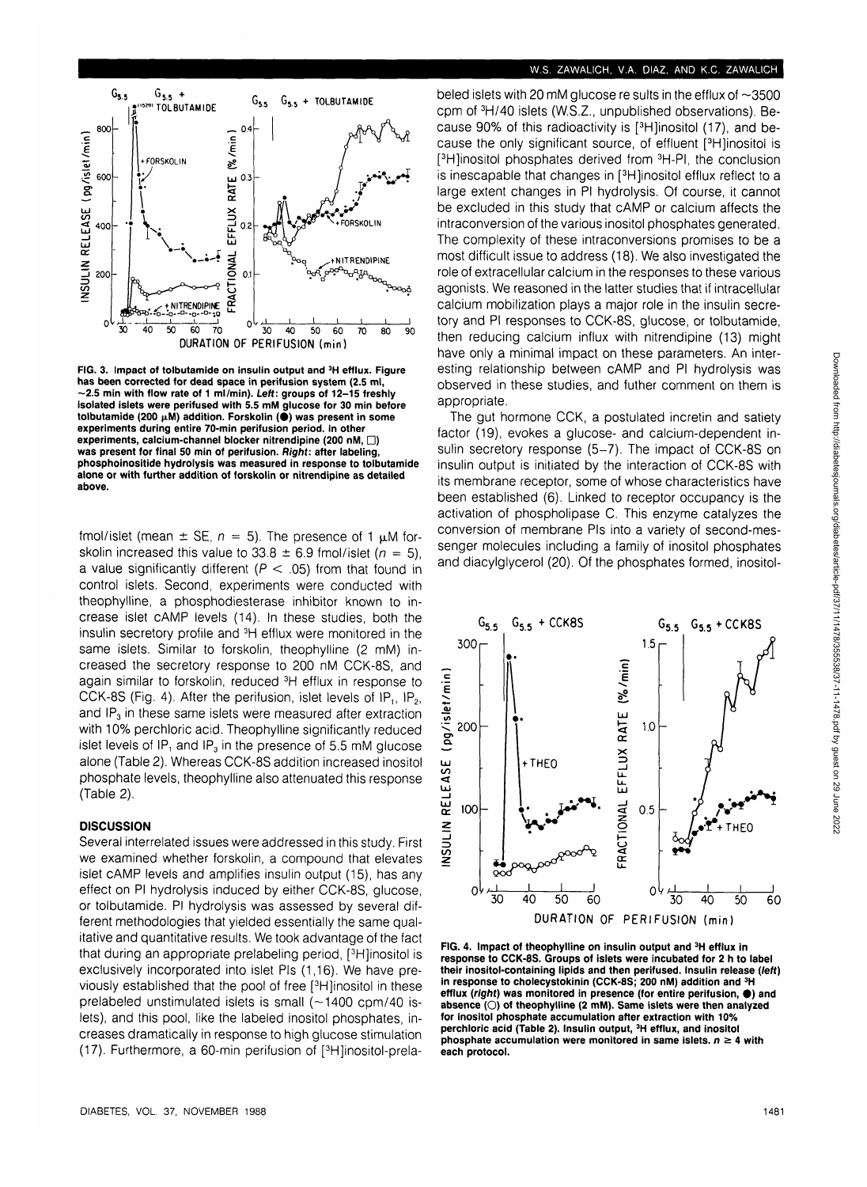# **W.S. ZAWALICH, V.A. DIAZ, AND K.C. ZAWALICH**



**FIG. 3. Impact of tolbutamide on insulin output and 3H efflux. Figure has been corrected for dead space in perifusion system (2.5 ml, -2.5 min with flow rate of 1 ml/min). Left: groups of 12-15 freshly isolated islets were perifused with 5.5 mM glucose for 30 min before** tolbutamide (200  $\mu$ M) addition. Forskolin (<sup>\*</sup>) was present in some **experiments during entire 70-min perifusion period. In other experiments, calcium-channel blocker nitrendipine (200 nM,**  $\Box$ **) was present for final 50 min of perifusion. Right: after labeling, phosphoinositide hydrolysis was measured in response to tolbutamide alone or with further addition of forskolin or nitrendipine as detailed above.**

fmol/islet (mean  $\pm$  SE,  $n = 5$ ). The presence of 1  $\mu$ M forskolin increased this value to  $33.8 \pm 6.9$  fmol/islet ( $n = 5$ ), a value significantly different ( $P < .05$ ) from that found in control islets. Second, experiments were conducted with theophylline, a phosphodiesterase inhibitor known to increase islet cAMP levels (14). In these studies, both the insulin secretory profile and 3H efflux were monitored in the same islets. Similar to forskolin, theophylline (2 mM) increased the secretory response to 200 nM CCK-8S, and again similar to forskolin, reduced 3H efflux in response to CCK-8S (Fig. 4). After the perifusion, islet levels of  $IP_1$ ,  $IP_2$ , and  $IP<sub>3</sub>$  in these same islets were measured after extraction with 10% perchloric acid. Theophylline significantly reduced islet levels of IP, and IP $_3$  in the presence of 5.5 mM glucose alone (Table 2). Whereas CCK-8S addition increased inositol phosphate levels, theophylline also attenuated this response (Table 2).

# **DISCUSSION**

Several interrelated issues were addressed in this study. First we examined whether forskolin, a compound that elevates islet cAMP levels and amplifies insulin output (15), has any effect on PI hydrolysis induced by either CCK-8S, glucose, or tolbutamide. PI hydrolysis was assessed by several different methodologies that yielded essentially the same qualitative and quantitative results. We took advantage of the fact that during an appropriate prelabeling period, [3 H]inositol is exclusively incorporated into islet Pis (1,16). We have previously established that the pool of free [3 H]inositol in these prelabeled unstimulated islets is small  $(-1400 \text{ cm}/40 \text{ is-}$ lets), and this pool, like the labeled inositol phosphates, increases dramatically in response to high glucose stimulation (17). Furthermore, a 60-min perifusion of [3 H]inositol-prelabeled islets with 20 mM glucose re sults in the efflux of  $\sim$ 3500 cpm of 3H/40 islets (W.S.Z., unpublished observations). Because 90% of this radioactivity is [3 H]inositol (17), and because the only significant source, of effluent [3 H]inositol is [<sup>3</sup>H]inositol phosphates derived from <sup>3</sup>H-PI, the conclusion is inescapable that changes in [<sup>3</sup>H]inositol efflux reflect to a large extent changes in PI hydrolysis. Of course, it cannot be excluded in this study that cAMP or calcium affects the intraconversion of the various inositol phosphates generated. The complexity of these intraconversions promises to be a most difficult issue to address (18). We also investigated the role of extracellular calcium in the responses to these various agonists. We reasoned in the latter studies that if intracellular calcium mobilization plays a major role in the insulin secretory and PI responses to CCK-8S, glucose, or tolbutamide, then reducing calcium influx with nitrendipine (13) might have only a minimal impact on these parameters. An interesting relationship between cAMP and PI hydrolysis was observed in these studies, and futher comment on them is appropriate.

The gut hormone CCK, a postulated incretin and satiety factor (19), evokes a glucose- and calcium-dependent insulin secretory response (5-7). The impact of CCK-8S on insulin output is initiated by the interaction of CCK-8S with its membrane receptor, some of whose characteristics have been established (6). Linked to receptor occupancy is the activation of phospholipase C. This enzyme catalyzes the conversion of membrane Pis into a variety of second-messenger molecules including a family of inositol phosphates and diacylglycerol (20). Of the phosphates formed, inositol-



**FIG. 4. Impact of theophylline on insulin output and 3H efflux in response to CCK-8S. Groups of islets were incubated for 2 h to label their inositol-containing lipids and then perifused. Insulin release {left) in response to cholecystokinin (CCK-8S; 200 nM) addition and 3H efflux (right) was monitored in presence (for entire perifusion, • ) and absence (O) of theophylline (2 mM). Same islets were then analyzed for inositol phosphate accumulation after extraction with 10% perchloric acid (Table 2). Insulin output, 3H efflux, and inositol phosphate accumulation were monitored in same islets.**  $n \geq 4$  **with each protocol.**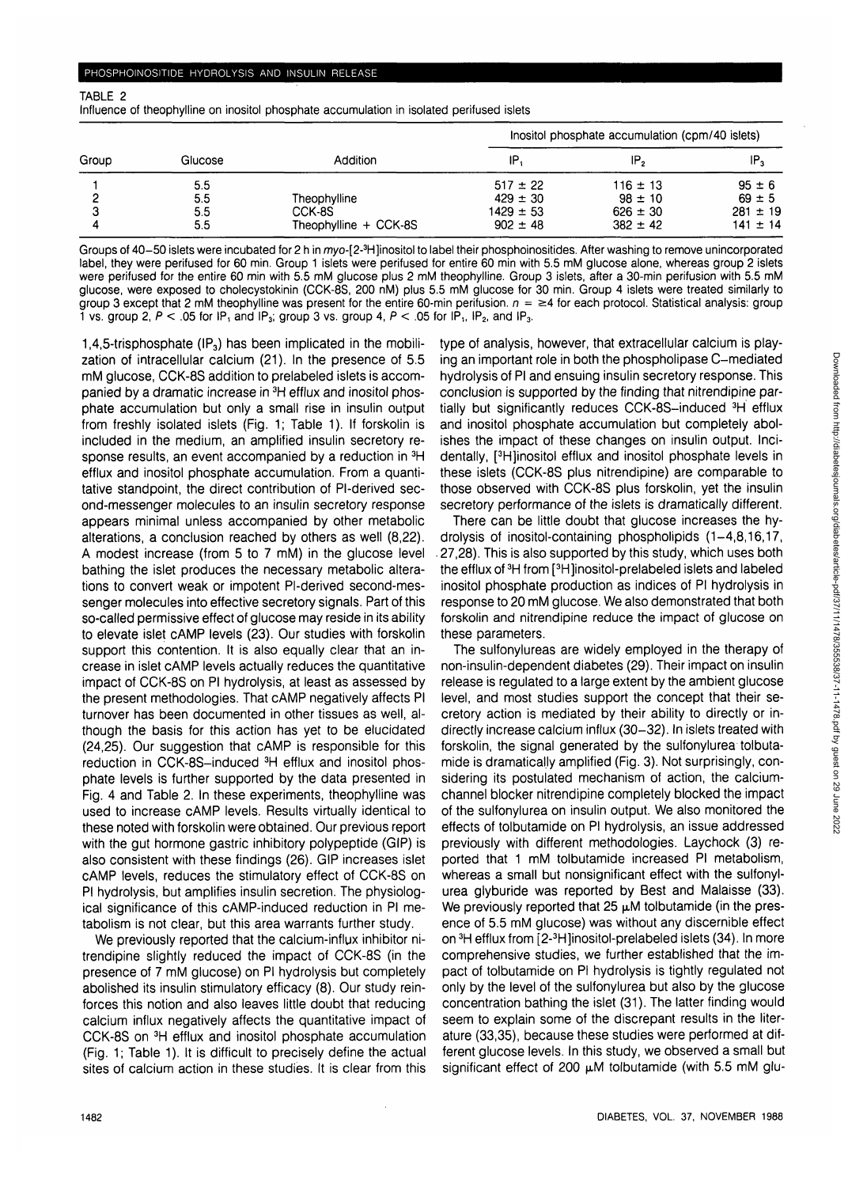TABLE 2

Influence of theophylline on inositol phosphate accumulation in isolated perifused islets

| Group | Glucose                  | Addition                                        | Inositol phosphate accumulation (cpm/40 islets)               |                                                             |                                                          |
|-------|--------------------------|-------------------------------------------------|---------------------------------------------------------------|-------------------------------------------------------------|----------------------------------------------------------|
|       |                          |                                                 | IP.                                                           | IP,                                                         | ۱P,                                                      |
|       | 5.5<br>5.5<br>5.5<br>5.5 | Theophylline<br>CCK-8S<br>Theophylline + CCK-8S | $517 \pm 22$<br>$429 \pm 30$<br>$1429 \pm 53$<br>$902 \pm 48$ | $116 \pm 13$<br>$98 \pm 10$<br>$626 \pm 30$<br>$382 \pm 42$ | $95 \pm 6$<br>$69 \pm 5$<br>$281 \pm 19$<br>$141 \pm 14$ |

Groups of 40–50 islets were incubated for 2 h in myo-[2-3H]inositol to label their phosphoinositides. After washing to remove unincorporated label, they were perifused for 60 min. Group 1 islets were perifused for entire 60 min with 5.5 mM glucose alone, whereas group 2 islets were perifused for the entire 60 min with 5.5 mM glucose plus 2 mM theophylline. Group 3 islets, after a 30-min perifusion with 5.5 mM glucose, were exposed to cholecystokinin (CCK-8S, 200 nM) plus 5.5 mM glucose for 30 min. Group 4 islets were treated similarly to group 3 except that 2 mM theophylline was present for the entire 60-min perifusion.  $n = \geq 4$  for each protocol. Statistical analysis: group 1 vs. group 2,  $P < 0.05$  for IP, and IP<sub>3</sub>, group 3 vs. group 4,  $P < 0.05$  for IP<sub>3</sub>, IP<sub>2</sub>, and IP<sub>3</sub>.

1,4,5-trisphosphate  $(\mathsf{IP}_3)$  has been implicated in the mobilization of intracellular calcium (21). In the presence of 5.5 mM glucose, CCK-8S addition to prelabeled islets is accompanied by a dramatic increase in 3H efflux and inositol phosphate accumulation but only a small rise in insulin output from freshly isolated islets (Fig. 1; Table 1). If forskolin is included in the medium, an amplified insulin secretory response results, an event accompanied by a reduction in  ${}^{3}H$ efflux and inositol phosphate accumulation. From a quantitative standpoint, the direct contribution of Pl-derived second-messenger molecules to an insulin secretory response appears minimal unless accompanied by other metabolic alterations, a conclusion reached by others as well (8,22). A modest increase (from 5 to 7 mM) in the glucose level bathing the islet produces the necessary metabolic alterations to convert weak or impotent Pl-derived second-messenger molecules into effective secretory signals. Part of this so-called permissive effect of glucose may reside in its ability to elevate islet cAMP levels (23). Our studies with forskolin support this contention. It is also equally clear that an increase in islet cAMP levels actually reduces the quantitative impact of CCK-8S on PI hydrolysis, at least as assessed by the present methodologies. That cAMP negatively affects PI turnover has been documented in other tissues as well, although the basis for this action has yet to be elucidated (24,25). Our suggestion that cAMP is responsible for this reduction in CCK-8S-induced 3H efflux and inositol phosphate levels is further supported by the data presented in Fig. 4 and Table 2. In these experiments, theophylline was used to increase cAMP levels. Results virtually identical to these noted with forskolin were obtained. Our previous report with the gut hormone gastric inhibitory polypeptide (GIP) is also consistent with these findings (26). GIP increases islet cAMP levels, reduces the stimulatory effect of CCK-8S on PI hydrolysis, but amplifies insulin secretion. The physiological significance of this cAMP-induced reduction in PI metabolism is not clear, but this area warrants further study.

We previously reported that the calcium-influx inhibitor nitrendipine slightly reduced the impact of CCK-8S (in the presence of 7 mM glucose) on PI hydrolysis but completely abolished its insulin stimulatory efficacy (8). Our study reinforces this notion and also leaves little doubt that reducing calcium influx negatively affects the quantitative impact of CCK-8S on 3H efflux and inositol phosphate accumulation (Fig. 1; Table 1). It is difficult to precisely define the actual sites of calcium action in these studies. It is clear from this type of analysis, however, that extracellular calcium is playing an important role in both the phospholipase C-mediated hydrolysis of PI and ensuing insulin secretory response. This conclusion is supported by the finding that nitrendipine partially but significantly reduces CCK-8S-induced 3H efflux and inositol phosphate accumulation but completely abolishes the impact of these changes on insulin output. Incidentally, [<sup>3</sup>H]inositol efflux and inositol phosphate levels in these islets (CCK-8S plus nitrendipine) are comparable to those observed with CCK-8S plus forskolin, yet the insulin secretory performance of the islets is dramatically different.

There can be little doubt that glucose increases the hydrolysis of inositol-containing phospholipids (1-4,8,16,17, . 27,28). This is also supported by this study, which uses both the efflux of <sup>3</sup>H from [<sup>3</sup>H]inositol-prelabeled islets and labeled inositol phosphate production as indices of PI hydrolysis in response to 20 mM glucose. We also demonstrated that both forskolin and nitrendipine reduce the impact of glucose on these parameters.

The sulfonylureas are widely employed in the therapy of non-insulin-dependent diabetes (29). Their impact on insulin release is regulated to a large extent by the ambient glucose level, and most studies support the concept that their secretory action is mediated by their ability to directly or indirectly increase calcium influx (30-32). In islets treated with forskolin, the signal generated by the sulfonylurea tolbutamide is dramatically amplified (Fig. 3). Not surprisingly, considering its postulated mechanism of action, the calciumchannel blocker nitrendipine completely blocked the impact of the sulfonylurea on insulin output. We also monitored the effects of tolbutamide on PI hydrolysis, an issue addressed previously with different methodologies. Laychock (3) reported that 1 mM tolbutamide increased PI metabolism, whereas a small but nonsignificant effect with the sulfonylurea glyburide was reported by Best and Malaisse (33). We previously reported that  $25 \mu$ M tolbutamide (in the presence of 5.5 mM glucose) was without any discernible effect on <sup>3</sup>H efflux from [2-<sup>3</sup>H]inositol-prelabeled islets (34). In more comprehensive studies, we further established that the impact of tolbutamide on PI hydrolysis is tightly regulated not only by the level of the sulfonylurea but also by the glucose concentration bathing the islet (31). The latter finding would seem to explain some of the discrepant results in the literature (33,35), because these studies were performed at different glucose levels. In this study, we observed a small but significant effect of 200  $\mu$ M tolbutamide (with 5.5 mM glu-